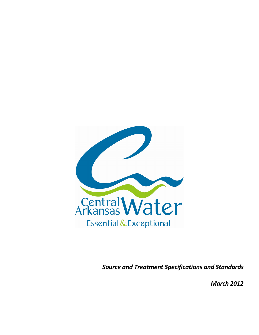

*Source and Treatment Specifications and Standards* 

*March 2012*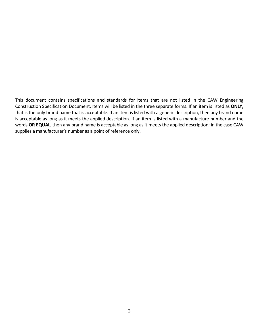This document contains specifications and standards for items that are not listed in the CAW Engineering Construction Specification Document. Items will be listed in the three separate forms. If an item is listed as **ONLY,**  that is the only brand name that is acceptable. If an item is listed with a generic description, then any brand name is acceptable as long as it meets the applied description. If an item is listed with a manufacture number and the words **OR EQUAL**, then any brand name is acceptable as long as it meets the applied description; in the case CAW supplies a manufacturer's number as a point of reference only.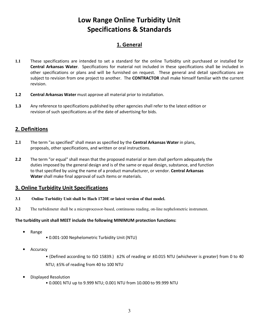# **Low Range Online Turbidity Unit Specifications & Standards**

## **1. General**

- **1.1** These specifications are intended to set a standard for the online Turbidity unit purchased or installed for **Central Arkansas Water**. Specifications for material not included in these specifications shall be included in other specifications or plans and will be furnished on request. These general and detail specifications are subject to revision from one project to another. The **CONTRACTOR** shall make himself familiar with the current revision.
- **1.2 Central Arkansas Water** must approve all material prior to installation.
- **1.3** Any reference to specifications published by other agencies shall refer to the latest edition or revision of such specifications as of the date of advertising for bids.

### **2. Definitions**

- **2.1** The term "as specified" shall mean as specified by the **Central Arkansas Water** in plans, proposals, other specifications, and written or oral instructions.
- **2.2** The term "or equal" shall mean that the proposed material or item shall perform adequately the duties imposed by the general design and is of the same or equal design, substance, and function to that specified by using the name of a product manufacturer, or vendor. **Central Arkansas Water** shall make final approval of such items or materials.

### **3. Online Turbidity Unit Specifications**

- **3.1 Online Turbidity Unit shall be Hach 1720E or latest version of that model.**
- **3.2** The turbidimeter shall be a microprocessor-based, continuous reading, on-line nephelometric instrument.

#### **The turbidity unit shall MEET include the following MINIMUM protection functions:**

- Range
- 0.001-100 Nephelometric Turbidity Unit (NTU)
- Accuracy
	- (Defined according to ISO 15839.) ±2% of reading or ±0.015 NTU (whichever is greater) from 0 to 40 NTU; ±5% of reading from 40 to 100 NTU
- Displayed Resolution
	- 0.0001 NTU up to 9.999 NTU; 0.001 NTU from 10.000 to 99.999 NTU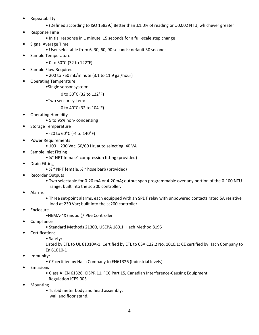- Repeatability
	- (Defined according to ISO 15839.) Better than ±1.0% of reading or ±0.002 NTU, whichever greater
- Response Time
	- Initial response in 1 minute, 15 seconds for a full-scale step change
- Signal Average Time
	- User selectable from 6, 30, 60, 90 seconds; default 30 seconds
- Sample Temperature
	- 0 to 50°C (32 to 122°F)
- Sample Flow Required
	- 200 to 750 mL/minute (3.1 to 11.9 gal/hour)
- Operating Temperature
	- •Single sensor system:

0 to 50°C (32 to 122°F)

•Two sensor system:

0 to 40°C (32 to 104°F)

- Operating Humidity
	- 5 to 95% non- condensing
- Storage Temperature
	- -20 to 60°C (-4 to 140°F)
- Power Requirements
	- 100 230 Vac, 50/60 Hz, auto selecting; 40 VA
	- Sample Inlet Fitting
		- ¼" NPT female" compression fitting (provided)
- Drain Fitting
	- ½ " NPT female, ½ " hose barb (provided)
- Recorder Outputs
	- Two selectable for 0-20 mA or 4-20mA; output span programmable over any portion of the 0-100 NTU range; built into the sc 200 controller.
- Alarms
- Three set-point alarms, each equipped with an SPDT relay with unpowered contacts rated 5A resistive load at 230 Vac; built into the sc200 controller
- **Enclosure** 
	- •NEMA-4X (indoor)/IP66 Controller
- **Compliance** 
	- Standard Methods 2130B, USEPA 180.1, Hach Method 8195
- **Certifications** 
	- Safety:

Listed by ETL to UL 61010A-1: Certified by ETL to CSA C22.2 No. 1010.1: CE certified by Hach Company to En 61010-1

- Immunity:
	- CE certified by Hach Company to EN61326 (Industrial levels)
- **Emissions** 
	- Class A: EN 61326, CISPR 11, FCC Part 15, Canadian Interference-Causing Equipment
	- Regulation ICES-003
- **Mounting** 
	- Turbidimeter body and head assembly: wall and floor stand.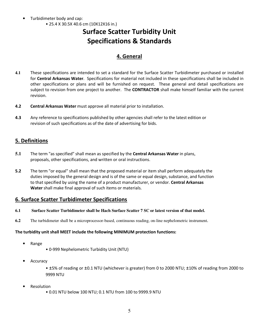• Turbidimeter body and cap: • 25.4 X 30.5X 40.6 cm (10X12X16 in.)

# **Surface Scatter Turbidity Unit Specifications & Standards**

## **4. General**

- **4.1** These specifications are intended to set a standard for the Surface Scatter Turbidimeter purchased or installed for **Central Arkansas Water**. Specifications for material not included in these specifications shall be included in other specifications or plans and will be furnished on request. These general and detail specifications are subject to revision from one project to another. The **CONTRACTOR** shall make himself familiar with the current revision.
- **4.2 Central Arkansas Water** must approve all material prior to installation.
- **4.3** Any reference to specifications published by other agencies shall refer to the latest edition or revision of such specifications as of the date of advertising for bids.

### **5. Definitions**

- **5.1** The term "as specified" shall mean as specified by the **Central Arkansas Water** in plans, proposals, other specifications, and written or oral instructions.
- **5.2** The term "or equal" shall mean that the proposed material or item shall perform adequately the duties imposed by the general design and is of the same or equal design, substance, and function to that specified by using the name of a product manufacturer, or vendor. **Central Arkansas Water** shall make final approval of such items or materials.

### **6. Surface Scatter Turbidimeter Specifications**

- **6.1 Surface Scatter Turbidimeter shall be Hach Surface Scatter 7 SC or latest version of that model.**
- **6.2** The turbidimeter shall be a microprocessor-based, continuous reading, on-line nephelometric instrument.

#### **The turbidity unit shall MEET include the following MINIMUM protection functions:**

- Range
- 0-999 Nephelometric Turbidity Unit (NTU)
- Accuracy
	- ±5% of reading or ±0.1 NTU (whichever is greater) from 0 to 2000 NTU; ±10% of reading from 2000 to 9999 NTU
- **Resolution** 
	- 0.01 NTU below 100 NTU; 0.1 NTU from 100 to 9999.9 NTU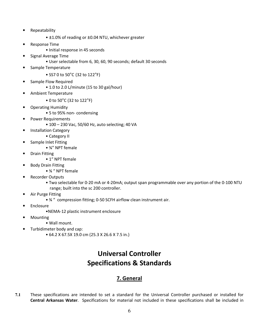- Repeatability
	- ±1.0% of reading or ±0.04 NTU, whichever greater
- Response Time
	- Initial response in 45 seconds
- Signal Average Time
	- User selectable from 6, 30, 60, 90 seconds; default 30 seconds
- Sample Temperature
	- SS7 0 to 50°C (32 to 122°F)
- Sample Flow Required
	- 1.0 to 2.0 L/minute (15 to 30 gal/hour)
- Ambient Temperature
	- 0 to 50°C (32 to 122°F)
- Operating Humidity
	- 5 to 95% non- condensing
- Power Requirements
	- 100 230 Vac, 50/60 Hz, auto selecting; 40 VA
	- Installation Category
		- Category II
- Sample Inlet Fitting
	- ¾" NPT female
- Drain Fitting
	- 1" NPT female
- Body Drain Fitting
	- ¾ " NPT female
- Recorder Outputs
	- Two selectable for 0-20 mA or 4-20mA; output span programmable over any portion of the 0-100 NTU range; built into the sc 200 controller.
- Air Purge Fitting
	- ¾ " compression fitting; 0-50 SCFH airflow clean instrument air.
- **Enclosure** 
	- •NEMA-12 plastic instrument enclosure
- **Mounting** 
	- Wall mount.
	- Turbidimeter body and cap:
		- 64.2 X 67.5X 19.0 cm (25.3 X 26.6 X 7.5 in.)

# **Universal Controller Specifications & Standards**

## **7. General**

**7.1** These specifications are intended to set a standard for the Universal Controller purchased or installed for **Central Arkansas Water**. Specifications for material not included in these specifications shall be included in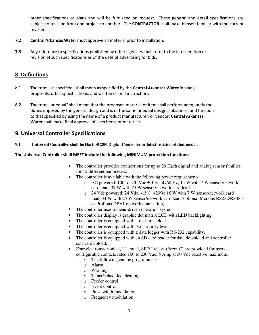other specifications or plans and will be furnished on request. These general and detail specifications are subject to revision from one project to another. The **CONTRACTOR** shall make himself familiar with the current revision.

- **7.2 Central Arkansas Water** must approve all material prior to installation.
- **7.3** Any reference to specifications published by other agencies shall refer to the latest edition or revision of such specifications as of the date of advertising for bids.

#### **8. Definitions**

- **8.1** The term "as specified" shall mean as specified by the **Central Arkansas Water** in plans, proposals, other specifications, and written or oral instructions.
- **8.2** The term "or equal" shall mean that the proposed material or item shall perform adequately the duties imposed by the general design and is of the same or equal design, substance, and function to that specified by using the name of a product manufacturer, or vendor. **Central Arkansas Water** shall make final approval of such items or materials.

#### **9. Universal Controller Specifications**

**9.1 Universal Controller shall be Hach SC200 Digital Controller or latest revision of that model.** 

#### **The Universal Controller shall MEET include the following MINIMUM protection functions:**

- The controller provides connections for up to 29 Hach digital and analog sensor families for 15 different parameters.
- The controller is available with the following power requirements:
	- $\circ$  AC powered: 100 to 240 Vac  $\pm 10\%$ , 50/60 Hz; 15 W with 7 W sensor/network card load, 37 W with 25 W sensor/network card load.
	- o 24 Vdc powered: 24 Vdc, -15%, +20%; 16 W with 7 W sensor/network card load, 34 W with 25 W sensor/network card load (optional Modbus RS232/RS485 or Profibus DPV1 network connection).
- The controller uses a menu-driven operation system.
- The controller display is graphic dot matrix LCD with LED backlighting.
- The controller is equipped with a real-time clock.
- The controller is equipped with two security levels.
- The controller is equipped with a data logger with RS-232 capability.
- The controller is equipped with an SD card reader for data download and controller software upload.
- Four electromechanical, UL rated, SPDT relays (Form C) are provided for userconfigurable contacts rated 100 to 230 Vac, 5 Amp at 30 Vdc resistive maximum.
	- o The following can be programmed:
	- o Alarm
	- o Warning
	- o Timer/scheduled cleaning
	- o Feeder control
	- o Event control
	- o Pulse width modulation
	- o Frequency modulation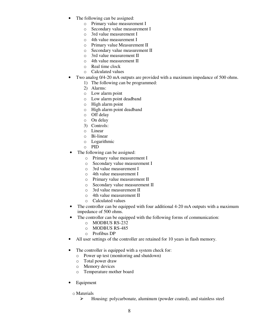- The following can be assigned:
	- o Primary value measurement I
	- o Secondary value measurement I
	- o 3rd value measurement I
	- o 4th value measurement I
	- o Primary value Measurement II
	- o Secondary value measurement II
	- o 3rd value measurement II
	- o 4th value measurement II
	- o Real time clock
	- o Calculated values
- Two analog 0/4-20 mA outputs are provided with a maximum impedance of 500 ohms.
	- 1) The following can be programmed:
	- 2) Alarms:
	- o Low alarm point
	- o Low alarm point deadband
	- o High alarm point
	- o High alarm point deadband
	- o Off delay
	- o On delay
	- 3) Controls:
	- o Linear
	- o Bi-linear
	- o Logarithmic
	- o PID
- The following can be assigned:
	- o Primary value measurement I
	- o Secondary value measurement I
	- o 3rd value measurement I
	- o 4th value measurement I
	- o Primary value measurement II
	- o Secondary value measurement II
	- o 3rd value measurement II
	- o 4th value measurement II
	- o Calculated values
- The controller can be equipped with four additional 4-20 mA outputs with a maximum impedance of 500 ohms.
- The controller can be equipped with the following forms of communication:
	- o MODBUS RS-232
	- o MODBUS RS-485
	- o Profibus DP
- All user settings of the controller are retained for 10 years in flash memory.
- The controller is equipped with a system check for:
	- o Power up test (monitoring and shutdown)
	- o Total power draw
	- o Memory devices
	- o Temperature mother board
- **Equipment** 
	- o Materials
		- Housing: polycarbonate, aluminum (powder coated), and stainless steel